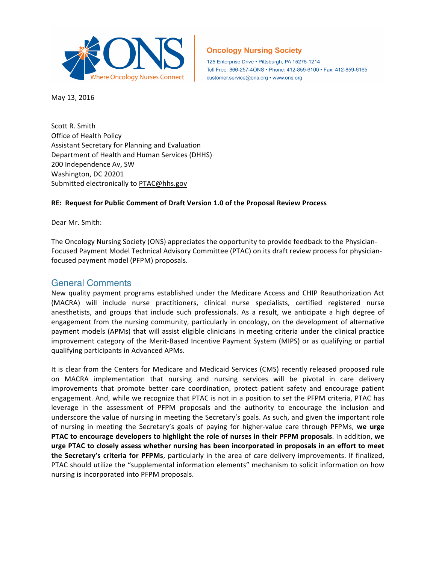

# **Oncology Nursing Society**

125 Enterprise Drive · Pittsburgh, PA 15275-1214 Toll Free: 866-257-4ONS · Phone: 412-859-6100 · Fax: 412-859-6165 customer.service@ons.org • www.ons.org

May 13, 2016

Scott R. Smith Office of Health Policy Assistant Secretary for Planning and Evaluation Department of Health and Human Services (DHHS) 200 Independence Av, SW Washington, DC 20201 Submitted electronically to PTAC@hhs.gov

#### **RE: Request for Public Comment of Draft Version 1.0 of the Proposal Review Process**

Dear Mr. Smith:

The Oncology Nursing Society (ONS) appreciates the opportunity to provide feedback to the Physician-Focused Payment Model Technical Advisory Committee (PTAC) on its draft review process for physicianfocused payment model (PFPM) proposals.

### General Comments

New quality payment programs established under the Medicare Access and CHIP Reauthorization Act (MACRA) will include nurse practitioners, clinical nurse specialists, certified registered nurse anesthetists, and groups that include such professionals. As a result, we anticipate a high degree of engagement from the nursing community, particularly in oncology, on the development of alternative payment models (APMs) that will assist eligible clinicians in meeting criteria under the clinical practice improvement category of the Merit-Based Incentive Payment System (MIPS) or as qualifying or partial qualifying participants in Advanced APMs.

It is clear from the Centers for Medicare and Medicaid Services (CMS) recently released proposed rule on MACRA implementation that nursing and nursing services will be pivotal in care delivery improvements that promote better care coordination, protect patient safety and encourage patient engagement. And, while we recognize that PTAC is not in a position to *set* the PFPM criteria, PTAC has leverage in the assessment of PFPM proposals and the authority to encourage the inclusion and underscore the value of nursing in meeting the Secretary's goals. As such, and given the important role of nursing in meeting the Secretary's goals of paying for higher-value care through PFPMs, **we urge PTAC to encourage developers to highlight the role of nurses in their PFPM proposals**. In addition, **we urge PTAC to closely assess whether nursing has been incorporated in proposals in an effort to meet the Secretary's criteria for PFPMs**, particularly in the area of care delivery improvements. If finalized, PTAC should utilize the "supplemental information elements" mechanism to solicit information on how nursing is incorporated into PFPM proposals.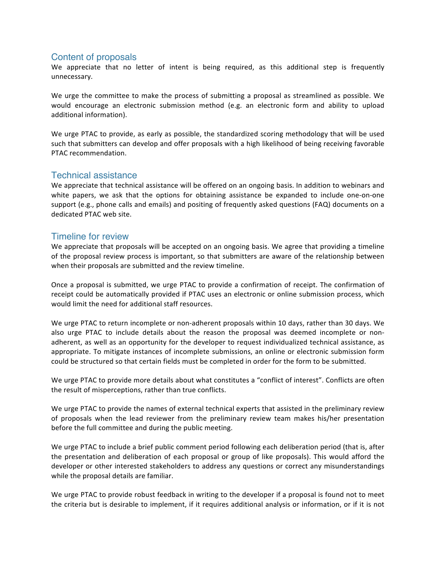# Content of proposals

We appreciate that no letter of intent is being required, as this additional step is frequently unnecessary.

We urge the committee to make the process of submitting a proposal as streamlined as possible. We would encourage an electronic submission method (e.g. an electronic form and ability to upload additional information).

We urge PTAC to provide, as early as possible, the standardized scoring methodology that will be used such that submitters can develop and offer proposals with a high likelihood of being receiving favorable PTAC recommendation.

# Technical assistance

We appreciate that technical assistance will be offered on an ongoing basis. In addition to webinars and white papers, we ask that the options for obtaining assistance be expanded to include one-on-one support (e.g., phone calls and emails) and positing of frequently asked questions (FAQ) documents on a dedicated PTAC web site.

## Timeline for review

We appreciate that proposals will be accepted on an ongoing basis. We agree that providing a timeline of the proposal review process is important, so that submitters are aware of the relationship between when their proposals are submitted and the review timeline.

Once a proposal is submitted, we urge PTAC to provide a confirmation of receipt. The confirmation of receipt could be automatically provided if PTAC uses an electronic or online submission process, which would limit the need for additional staff resources.

We urge PTAC to return incomplete or non-adherent proposals within 10 days, rather than 30 days. We also urge PTAC to include details about the reason the proposal was deemed incomplete or nonadherent, as well as an opportunity for the developer to request individualized technical assistance, as appropriate. To mitigate instances of incomplete submissions, an online or electronic submission form could be structured so that certain fields must be completed in order for the form to be submitted.

We urge PTAC to provide more details about what constitutes a "conflict of interest". Conflicts are often the result of misperceptions, rather than true conflicts.

We urge PTAC to provide the names of external technical experts that assisted in the preliminary review of proposals when the lead reviewer from the preliminary review team makes his/her presentation before the full committee and during the public meeting.

We urge PTAC to include a brief public comment period following each deliberation period (that is, after the presentation and deliberation of each proposal or group of like proposals). This would afford the developer or other interested stakeholders to address any questions or correct any misunderstandings while the proposal details are familiar.

We urge PTAC to provide robust feedback in writing to the developer if a proposal is found not to meet the criteria but is desirable to implement, if it requires additional analysis or information, or if it is not